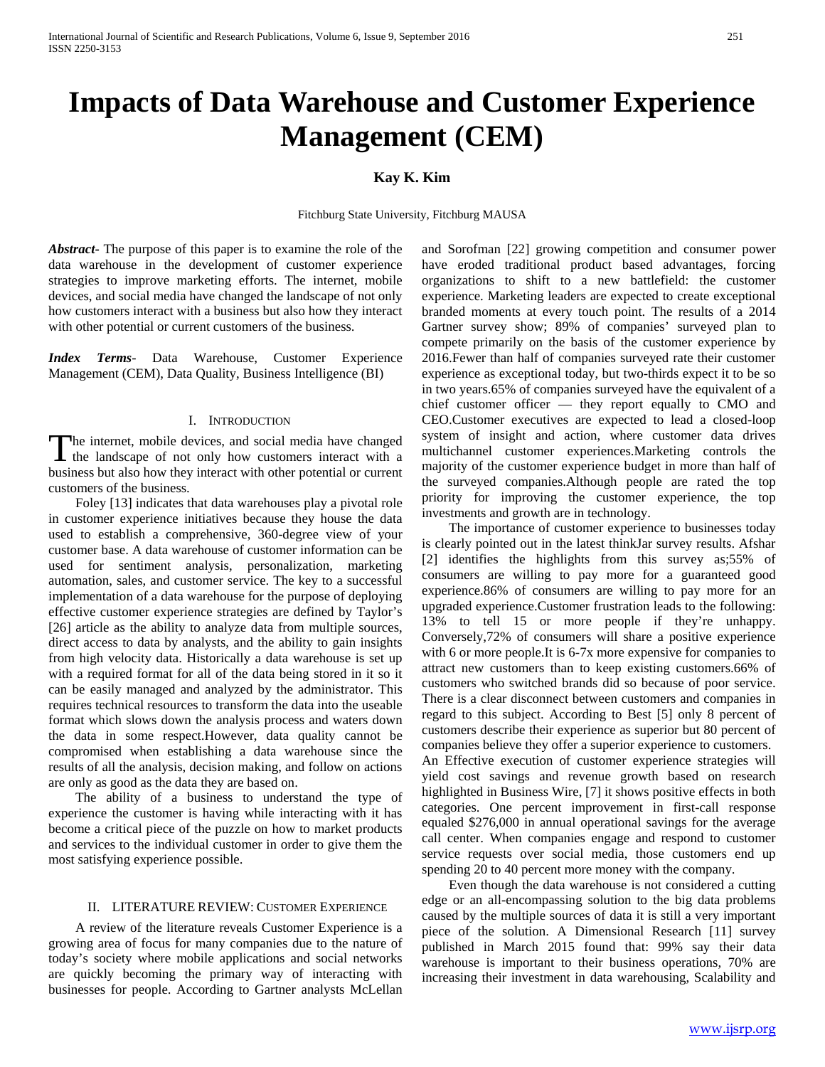# **Impacts of Data Warehouse and Customer Experience Management (CEM)**

# **Kay K. Kim**

Fitchburg State University, Fitchburg MAUSA

*Abstract***-** The purpose of this paper is to examine the role of the data warehouse in the development of customer experience strategies to improve marketing efforts. The internet, mobile devices, and social media have changed the landscape of not only how customers interact with a business but also how they interact with other potential or current customers of the business.

*Index Terms*- Data Warehouse, Customer Experience Management (CEM), Data Quality, Business Intelligence (BI)

#### I. INTRODUCTION

he internet, mobile devices, and social media have changed The internet, mobile devices, and social media have changed<br>the landscape of not only how customers interact with a business but also how they interact with other potential or current customers of the business.

 Foley [13] indicates that data warehouses play a pivotal role in customer experience initiatives because they house the data used to establish a comprehensive, 360-degree view of your customer base. A data warehouse of customer information can be used for sentiment analysis, personalization, marketing automation, sales, and customer service. The key to a successful implementation of a data warehouse for the purpose of deploying effective customer experience strategies are defined by Taylor's [26] article as the ability to analyze data from multiple sources, direct access to data by analysts, and the ability to gain insights from high velocity data. Historically a data warehouse is set up with a required format for all of the data being stored in it so it can be easily managed and analyzed by the administrator. This requires technical resources to transform the data into the useable format which slows down the analysis process and waters down the data in some respect.However, data quality cannot be compromised when establishing a data warehouse since the results of all the analysis, decision making, and follow on actions are only as good as the data they are based on.

 The ability of a business to understand the type of experience the customer is having while interacting with it has become a critical piece of the puzzle on how to market products and services to the individual customer in order to give them the most satisfying experience possible.

#### II. LITERATURE REVIEW: CUSTOMER EXPERIENCE

 A review of the literature reveals Customer Experience is a growing area of focus for many companies due to the nature of today's society where mobile applications and social networks are quickly becoming the primary way of interacting with businesses for people. According to Gartner analysts McLellan

and Sorofman [22] growing competition and consumer power have eroded traditional product based advantages, forcing organizations to shift to a new battlefield: the customer experience. Marketing leaders are expected to create exceptional branded moments at every touch point. The results of a 2014 Gartner survey show; 89% of companies' surveyed plan to compete primarily on the basis of the customer experience by 2016.Fewer than half of companies surveyed rate their customer experience as exceptional today, but two-thirds expect it to be so in two years.65% of companies surveyed have the equivalent of a chief customer officer — they report equally to CMO and CEO.Customer executives are expected to lead a closed-loop system of insight and action, where customer data drives multichannel customer experiences.Marketing controls the majority of the customer experience budget in more than half of the surveyed companies.Although people are rated the top priority for improving the customer experience, the top investments and growth are in technology.

 The importance of customer experience to businesses today is clearly pointed out in the latest thinkJar survey results. Afshar [2] identifies the highlights from this survey as;55% of consumers are willing to pay more for a guaranteed good experience.86% of consumers are willing to pay more for an upgraded experience.Customer frustration leads to the following: 13% to tell 15 or more people if they're unhappy. Conversely,72% of consumers will share a positive experience with 6 or more people.It is 6-7x more expensive for companies to attract new customers than to keep existing customers.66% of customers who switched brands did so because of poor service. There is a clear disconnect between customers and companies in regard to this subject. According to Best [5] only 8 percent of customers describe their experience as superior but 80 percent of companies believe they offer a superior experience to customers. An Effective execution of customer experience strategies will

yield cost savings and revenue growth based on research highlighted in Business Wire, [7] it shows positive effects in both categories. One percent improvement in first-call response equaled \$276,000 in annual operational savings for the average call center. When companies engage and respond to customer service requests over social media, those customers end up spending 20 to 40 percent more money with the company.

 Even though the data warehouse is not considered a cutting edge or an all-encompassing solution to the big data problems caused by the multiple sources of data it is still a very important piece of the solution. A Dimensional Research [11] survey published in March 2015 found that: 99% say their data warehouse is important to their business operations, 70% are increasing their investment in data warehousing, Scalability and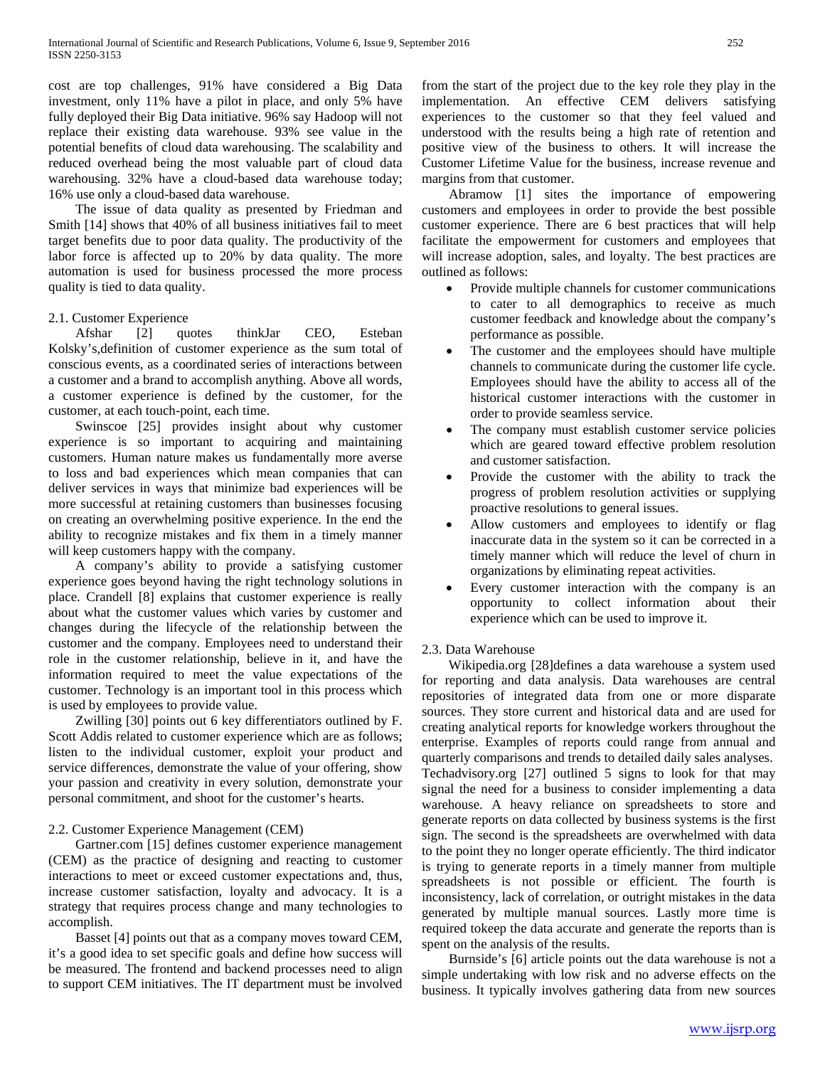cost are top challenges, 91% have considered a Big Data investment, only 11% have a pilot in place, and only 5% have fully deployed their Big Data initiative. 96% say Hadoop will not replace their existing data warehouse. 93% see value in the potential benefits of cloud data warehousing. The scalability and reduced overhead being the most valuable part of cloud data warehousing. 32% have a cloud-based data warehouse today; 16% use only a cloud-based data warehouse.

 The issue of data quality as presented by Friedman and Smith [14] shows that 40% of all business initiatives fail to meet target benefits due to poor data quality. The productivity of the labor force is affected up to 20% by data quality. The more automation is used for business processed the more process quality is tied to data quality.

# 2.1. Customer Experience

 Afshar [2] quotes thinkJar CEO, Esteban Kolsky's,definition of customer experience as the sum total of conscious events, as a coordinated series of interactions between a customer and a brand to accomplish anything. Above all words, a customer experience is defined by the customer, for the customer, at each touch-point, each time.

 Swinscoe [25] provides insight about why customer experience is so important to acquiring and maintaining customers. Human nature makes us fundamentally more averse to loss and bad experiences which mean companies that can deliver services in ways that minimize bad experiences will be more successful at retaining customers than businesses focusing on creating an overwhelming positive experience. In the end the ability to recognize mistakes and fix them in a timely manner will keep customers happy with the company.

 A company's ability to provide a satisfying customer experience goes beyond having the right technology solutions in place. Crandell [8] explains that customer experience is really about what the customer values which varies by customer and changes during the lifecycle of the relationship between the customer and the company. Employees need to understand their role in the customer relationship, believe in it, and have the information required to meet the value expectations of the customer. Technology is an important tool in this process which is used by employees to provide value.

 Zwilling [30] points out 6 key differentiators outlined by F. Scott Addis related to customer experience which are as follows; listen to the individual customer, exploit your product and service differences, demonstrate the value of your offering, show your passion and creativity in every solution, demonstrate your personal commitment, and shoot for the customer's hearts.

# 2.2. Customer Experience Management (CEM)

 Gartner.com [15] defines customer experience management (CEM) as the practice of designing and reacting to customer interactions to meet or exceed customer expectations and, thus, increase customer satisfaction, loyalty and advocacy. It is a strategy that requires process change and many technologies to accomplish.

 Basset [4] points out that as a company moves toward CEM, it's a good idea to set specific goals and define how success will be measured. The frontend and backend processes need to align to support CEM initiatives. The IT department must be involved from the start of the project due to the key role they play in the implementation. An effective CEM delivers satisfying experiences to the customer so that they feel valued and understood with the results being a high rate of retention and positive view of the business to others. It will increase the Customer Lifetime Value for the business, increase revenue and margins from that customer.

 Abramow [1] sites the importance of empowering customers and employees in order to provide the best possible customer experience. There are 6 best practices that will help facilitate the empowerment for customers and employees that will increase adoption, sales, and loyalty. The best practices are outlined as follows:

- Provide multiple channels for customer communications to cater to all demographics to receive as much customer feedback and knowledge about the company's performance as possible.
- The customer and the employees should have multiple channels to communicate during the customer life cycle. Employees should have the ability to access all of the historical customer interactions with the customer in order to provide seamless service.
- The company must establish customer service policies which are geared toward effective problem resolution and customer satisfaction.
- Provide the customer with the ability to track the progress of problem resolution activities or supplying proactive resolutions to general issues.
- Allow customers and employees to identify or flag inaccurate data in the system so it can be corrected in a timely manner which will reduce the level of churn in organizations by eliminating repeat activities.
- Every customer interaction with the company is an opportunity to collect information about their experience which can be used to improve it.

# 2.3. Data Warehouse

 Wikipedia.org [28]defines a data warehouse a system used for reporting and data analysis. Data warehouses are central repositories of integrated data from one or more disparate sources. They store current and historical data and are used for creating analytical reports for knowledge workers throughout the enterprise. Examples of reports could range from annual and quarterly comparisons and trends to detailed daily sales analyses. Techadvisory.org [27] outlined 5 signs to look for that may signal the need for a business to consider implementing a data warehouse. A heavy reliance on spreadsheets to store and generate reports on data collected by business systems is the first sign. The second is the spreadsheets are overwhelmed with data to the point they no longer operate efficiently. The third indicator is trying to generate reports in a timely manner from multiple spreadsheets is not possible or efficient. The fourth is inconsistency, lack of correlation, or outright mistakes in the data generated by multiple manual sources. Lastly more time is required tokeep the data accurate and generate the reports than is spent on the analysis of the results.

 Burnside's [6] article points out the data warehouse is not a simple undertaking with low risk and no adverse effects on the business. It typically involves gathering data from new sources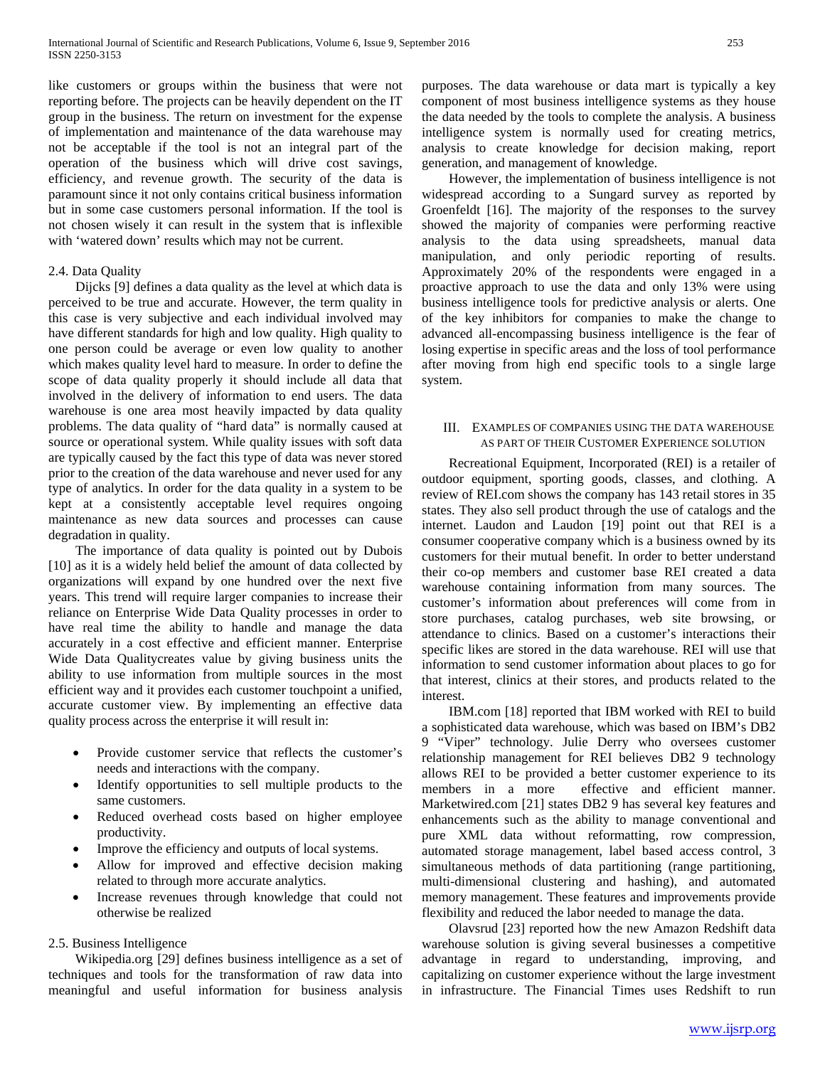like customers or groups within the business that were not reporting before. The projects can be heavily dependent on the IT group in the business. The return on investment for the expense of implementation and maintenance of the data warehouse may not be acceptable if the tool is not an integral part of the operation of the business which will drive cost savings, efficiency, and revenue growth. The security of the data is paramount since it not only contains critical business information but in some case customers personal information. If the tool is not chosen wisely it can result in the system that is inflexible with 'watered down' results which may not be current.

## 2.4. Data Quality

 Dijcks [9] defines a data quality as the level at which data is perceived to be true and accurate. However, the term quality in this case is very subjective and each individual involved may have different standards for high and low quality. High quality to one person could be average or even low quality to another which makes quality level hard to measure. In order to define the scope of data quality properly it should include all data that involved in the delivery of information to end users. The data warehouse is one area most heavily impacted by data quality problems. The data quality of "hard data" is normally caused at source or operational system. While quality issues with soft data are typically caused by the fact this type of data was never stored prior to the creation of the data warehouse and never used for any type of analytics. In order for the data quality in a system to be kept at a consistently acceptable level requires ongoing maintenance as new data sources and processes can cause degradation in quality.

 The importance of data quality is pointed out by Dubois [10] as it is a widely held belief the amount of data collected by organizations will expand by one hundred over the next five years. This trend will require larger companies to increase their reliance on Enterprise Wide Data Quality processes in order to have real time the ability to handle and manage the data accurately in a cost effective and efficient manner. Enterprise Wide Data Qualitycreates value by giving business units the ability to use information from multiple sources in the most efficient way and it provides each customer touchpoint a unified, accurate customer view. By implementing an effective data quality process across the enterprise it will result in:

- Provide customer service that reflects the customer's needs and interactions with the company.
- Identify opportunities to sell multiple products to the same customers.
- Reduced overhead costs based on higher employee productivity.
- Improve the efficiency and outputs of local systems.
- Allow for improved and effective decision making related to through more accurate analytics.
- Increase revenues through knowledge that could not otherwise be realized

#### 2.5. Business Intelligence

 Wikipedia.org [29] defines business intelligence as a set of techniques and tools for the transformation of raw data into meaningful and useful information for business analysis purposes. The data warehouse or data mart is typically a key component of most business intelligence systems as they house the data needed by the tools to complete the analysis. A business intelligence system is normally used for creating metrics, analysis to create knowledge for decision making, report generation, and management of knowledge.

 However, the implementation of business intelligence is not widespread according to a Sungard survey as reported by Groenfeldt [16]. The majority of the responses to the survey showed the majority of companies were performing reactive analysis to the data using spreadsheets, manual data manipulation, and only periodic reporting of results. Approximately 20% of the respondents were engaged in a proactive approach to use the data and only 13% were using business intelligence tools for predictive analysis or alerts. One of the key inhibitors for companies to make the change to advanced all-encompassing business intelligence is the fear of losing expertise in specific areas and the loss of tool performance after moving from high end specific tools to a single large system.

## III. EXAMPLES OF COMPANIES USING THE DATA WAREHOUSE AS PART OF THEIR CUSTOMER EXPERIENCE SOLUTION

 Recreational Equipment, Incorporated (REI) is a retailer of outdoor equipment, sporting goods, classes, and clothing. A review of REI.com shows the company has 143 retail stores in 35 states. They also sell product through the use of catalogs and the internet. Laudon and Laudon [19] point out that REI is a consumer cooperative company which is a business owned by its customers for their mutual benefit. In order to better understand their co-op members and customer base REI created a data warehouse containing information from many sources. The customer's information about preferences will come from in store purchases, catalog purchases, web site browsing, or attendance to clinics. Based on a customer's interactions their specific likes are stored in the data warehouse. REI will use that information to send customer information about places to go for that interest, clinics at their stores, and products related to the interest.

 IBM.com [18] reported that IBM worked with REI to build a sophisticated data warehouse, which was based on IBM's DB2 9 "Viper" technology. Julie Derry who oversees customer relationship management for REI believes DB2 9 technology allows REI to be provided a better customer experience to its members in a more effective and efficient manner. Marketwired.com [21] states DB2 9 has several key features and enhancements such as the ability to manage conventional and pure XML data without reformatting, row compression, automated storage management, label based access control, 3 simultaneous methods of data partitioning (range partitioning, multi-dimensional clustering and hashing), and automated memory management. These features and improvements provide flexibility and reduced the labor needed to manage the data.

 Olavsrud [23] reported how the new Amazon Redshift data warehouse solution is giving several businesses a competitive advantage in regard to understanding, improving, and capitalizing on customer experience without the large investment in infrastructure. The Financial Times uses Redshift to run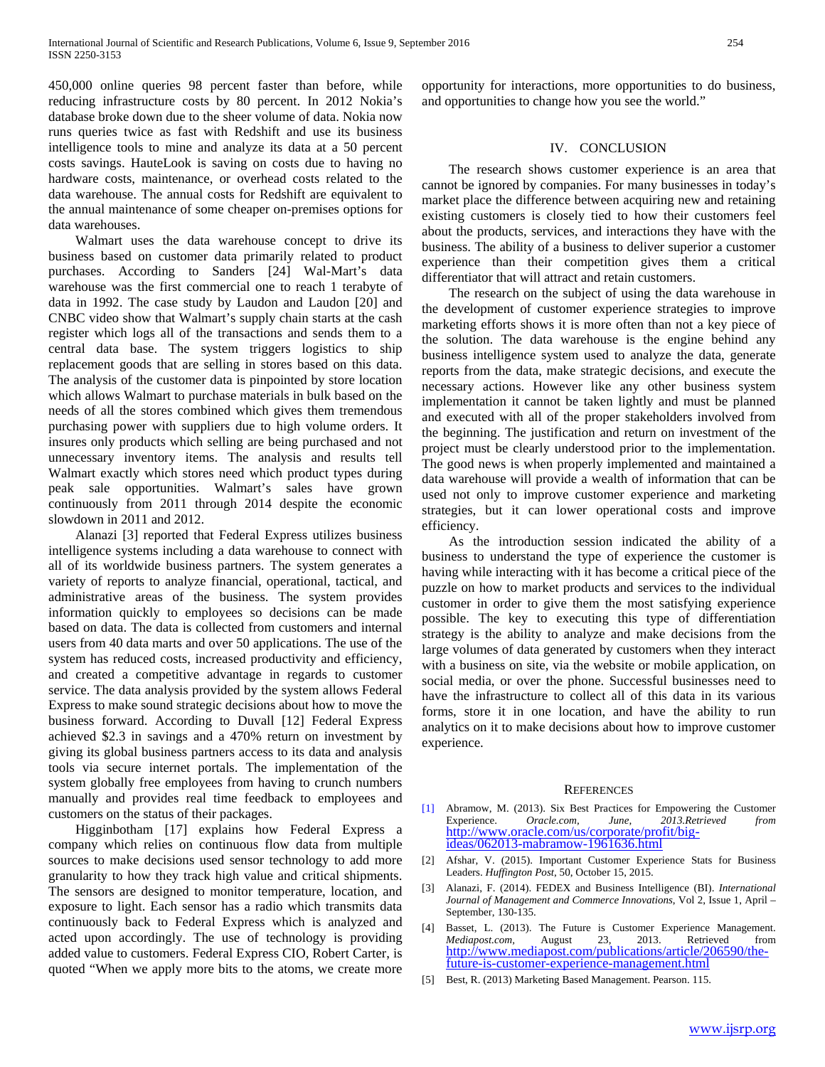450,000 online queries 98 percent faster than before, while reducing infrastructure costs by 80 percent. In 2012 Nokia's database broke down due to the sheer volume of data. Nokia now runs queries twice as fast with Redshift and use its business intelligence tools to mine and analyze its data at a 50 percent costs savings. HauteLook is saving on costs due to having no hardware costs, maintenance, or overhead costs related to the data warehouse. The annual costs for Redshift are equivalent to the annual maintenance of some cheaper on-premises options for data warehouses.

 Walmart uses the data warehouse concept to drive its business based on customer data primarily related to product purchases. According to Sanders [24] Wal-Mart's data warehouse was the first commercial one to reach 1 terabyte of data in 1992. The case study by Laudon and Laudon [20] and CNBC video show that Walmart's supply chain starts at the cash register which logs all of the transactions and sends them to a central data base. The system triggers logistics to ship replacement goods that are selling in stores based on this data. The analysis of the customer data is pinpointed by store location which allows Walmart to purchase materials in bulk based on the needs of all the stores combined which gives them tremendous purchasing power with suppliers due to high volume orders. It insures only products which selling are being purchased and not unnecessary inventory items. The analysis and results tell Walmart exactly which stores need which product types during peak sale opportunities. Walmart's sales have grown continuously from 2011 through 2014 despite the economic slowdown in 2011 and 2012.

 Alanazi [3] reported that Federal Express utilizes business intelligence systems including a data warehouse to connect with all of its worldwide business partners. The system generates a variety of reports to analyze financial, operational, tactical, and administrative areas of the business. The system provides information quickly to employees so decisions can be made based on data. The data is collected from customers and internal users from 40 data marts and over 50 applications. The use of the system has reduced costs, increased productivity and efficiency, and created a competitive advantage in regards to customer service. The data analysis provided by the system allows Federal Express to make sound strategic decisions about how to move the business forward. According to Duvall [12] Federal Express achieved \$2.3 in savings and a 470% return on investment by giving its global business partners access to its data and analysis tools via secure internet portals. The implementation of the system globally free employees from having to crunch numbers manually and provides real time feedback to employees and customers on the status of their packages.

 Higginbotham [17] explains how Federal Express a company which relies on continuous flow data from multiple sources to make decisions used sensor technology to add more granularity to how they track high value and critical shipments. The sensors are designed to monitor temperature, location, and exposure to light. Each sensor has a radio which transmits data continuously back to Federal Express which is analyzed and acted upon accordingly. The use of technology is providing added value to customers. Federal Express CIO, Robert Carter, is quoted "When we apply more bits to the atoms, we create more opportunity for interactions, more opportunities to do business, and opportunities to change how you see the world."

## IV. CONCLUSION

 The research shows customer experience is an area that cannot be ignored by companies. For many businesses in today's market place the difference between acquiring new and retaining existing customers is closely tied to how their customers feel about the products, services, and interactions they have with the business. The ability of a business to deliver superior a customer experience than their competition gives them a critical differentiator that will attract and retain customers.

 The research on the subject of using the data warehouse in the development of customer experience strategies to improve marketing efforts shows it is more often than not a key piece of the solution. The data warehouse is the engine behind any business intelligence system used to analyze the data, generate reports from the data, make strategic decisions, and execute the necessary actions. However like any other business system implementation it cannot be taken lightly and must be planned and executed with all of the proper stakeholders involved from the beginning. The justification and return on investment of the project must be clearly understood prior to the implementation. The good news is when properly implemented and maintained a data warehouse will provide a wealth of information that can be used not only to improve customer experience and marketing strategies, but it can lower operational costs and improve efficiency.

 As the introduction session indicated the ability of a business to understand the type of experience the customer is having while interacting with it has become a critical piece of the puzzle on how to market products and services to the individual customer in order to give them the most satisfying experience possible. The key to executing this type of differentiation strategy is the ability to analyze and make decisions from the large volumes of data generated by customers when they interact with a business on site, via the website or mobile application, on social media, or over the phone. Successful businesses need to have the infrastructure to collect all of this data in its various forms, store it in one location, and have the ability to run analytics on it to make decisions about how to improve customer experience.

#### **REFERENCES**

- [1] Abramow, M. (2013). Six Best Practices for Empowering the Customer Experience. *Oracle.com, June, 2013.Retrieved from*  [http://www.oracle.com/us/corporate/profit/big-](http://www.oracle.com/us/corporate/profit/big-ideas/062013-mabramow-1961636.html) [ideas/062013-mabramow-1961636.html](http://www.oracle.com/us/corporate/profit/big-ideas/062013-mabramow-1961636.html)
- [2] Afshar, V. (2015). Important Customer Experience Stats for Business Leaders. *Huffington Post*, 50, October 15, 2015.
- [3] Alanazi, F. (2014). FEDEX and Business Intelligence (BI). *International Journal of Management and Commerce Innovations*, Vol 2, Issue 1, April – September, 130-135.
- [4] Basset, L. (2013). The Future is Customer Experience Management. *Mediapost.com,* August 23, 2013. Retrieved from [http://www.mediapost.com/publications/article/206590/the-](http://www.mediapost.com/publications/article/206590/the-future-is-customer-experience-management.html) [future-is-customer-experience-management.html](http://www.mediapost.com/publications/article/206590/the-future-is-customer-experience-management.html)
- [5] Best, R. (2013) Marketing Based Management. Pearson. 115.